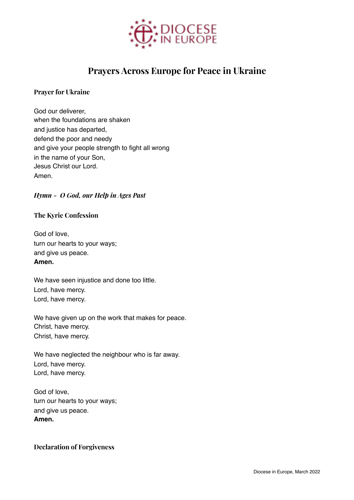

# **Prayers Across Europe for Peace in Ukraine**

## **Prayer for Ukraine**

God our deliverer, when the foundations are shaken and justice has departed, defend the poor and needy and give your people strength to fight all wrong in the name of your Son, Jesus Christ our Lord. Amen.

## *Hymn - O God, our Help in Ages Past*

#### **The Kyrie Confession**

God of love, turn our hearts to your ways; and give us peace. **Amen.**

We have seen injustice and done too little. Lord, have mercy. Lord, have mercy.

We have given up on the work that makes for peace. Christ, have mercy. Christ, have mercy.

We have neglected the neighbour who is far away. Lord, have mercy. Lord, have mercy.

God of love, turn our hearts to your ways; and give us peace. **Amen.**

## **Declaration of Forgiveness**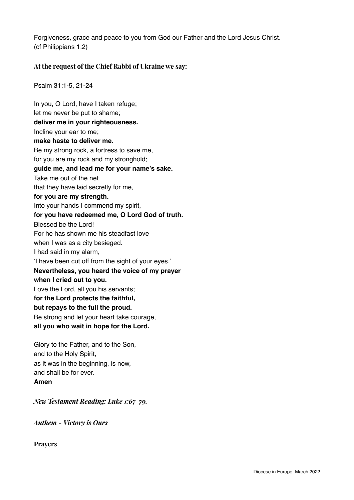Forgiveness, grace and peace to you from God our Father and the Lord Jesus Christ. (cf Philippians 1:2)

## **At the request of the Chief Rabbi of Ukraine we say:**

Psalm 31:1-5, 21-24

In you, O Lord, have I taken refuge; let me never be put to shame; **deliver me in your righteousness.** Incline your ear to me; **make haste to deliver me.** Be my strong rock, a fortress to save me, for you are my rock and my stronghold; **guide me, and lead me for your name's sake.** Take me out of the net that they have laid secretly for me, **for you are my strength.** Into your hands I commend my spirit, **for you have redeemed me, O Lord God of truth.** Blessed be the Lord! For he has shown me his steadfast love when I was as a city besieged. I had said in my alarm, 'I have been cut off from the sight of your eyes.' **Nevertheless, you heard the voice of my prayer when I cried out to you.** Love the Lord, all you his servants; **for the Lord protects the faithful, but repays to the full the proud.** Be strong and let your heart take courage, **all you who wait in hope for the Lord.** Glory to the Father, and to the Son,

and to the Holy Spirit, as it was in the beginning, is now, and shall be for ever. **Amen**

*New Testament Reading: Luke 1:67-79.*

*Anthem - Victory is Ours*

**Prayers**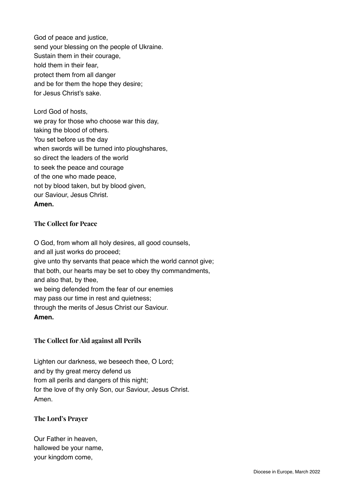God of peace and justice, send your blessing on the people of Ukraine. Sustain them in their courage, hold them in their fear, protect them from all danger and be for them the hope they desire; for Jesus Christ's sake.

Lord God of hosts, we pray for those who choose war this day, taking the blood of others. You set before us the day when swords will be turned into ploughshares, so direct the leaders of the world to seek the peace and courage of the one who made peace, not by blood taken, but by blood given, our Saviour, Jesus Christ. **Amen.**

## **The Collect for Peace**

O God, from whom all holy desires, all good counsels, and all just works do proceed; give unto thy servants that peace which the world cannot give; that both, our hearts may be set to obey thy commandments, and also that, by thee, we being defended from the fear of our enemies may pass our time in rest and quietness; through the merits of Jesus Christ our Saviour. **Amen.**

## **The Collect for Aid against all Perils**

Lighten our darkness, we beseech thee, O Lord; and by thy great mercy defend us from all perils and dangers of this night; for the love of thy only Son, our Saviour, Jesus Christ. Amen.

#### **The Lord's Prayer**

Our Father in heaven, hallowed be your name, your kingdom come,